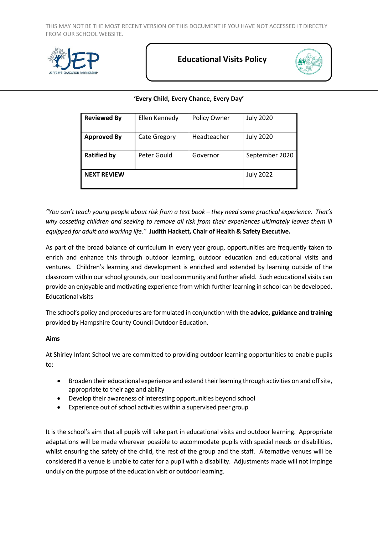

# **Educational Visits Policy**



# **'Every Child, Every Chance, Every Day'**

| <b>Reviewed By</b> | Ellen Kennedy       | Policy Owner | <b>July 2020</b> |
|--------------------|---------------------|--------------|------------------|
| <b>Approved By</b> | <b>Cate Gregory</b> | Headteacher  | <b>July 2020</b> |
| <b>Ratified by</b> | Peter Gould         | Governor     | September 2020   |
| <b>NEXT REVIEW</b> |                     |              | <b>July 2022</b> |

*"You can't teach young people about risk from a text book – they need some practical experience. That's why cosseting children and seeking to remove all risk from their experiences ultimately leaves them ill equipped for adult and working life."* **Judith Hackett, Chair of Health & Safety Executive.**

As part of the broad balance of curriculum in every year group, opportunities are frequently taken to enrich and enhance this through outdoor learning, outdoor education and educational visits and ventures. Children's learning and development is enriched and extended by learning outside of the classroom within our school grounds, our local community and further afield. Such educational visits can provide an enjoyable and motivating experience from which further learning in school can be developed. Educational visits

The school's policy and procedures are formulated in conjunction with the **advice, guidance and training**  provided by Hampshire County Council Outdoor Education.

### **Aims**

At Shirley Infant School we are committed to providing outdoor learning opportunities to enable pupils to:

- Broaden their educational experience and extend their learning through activities on and off site, appropriate to their age and ability
- Develop their awareness of interesting opportunities beyond school
- Experience out of school activities within a supervised peer group

It is the school's aim that all pupils will take part in educational visits and outdoor learning. Appropriate adaptations will be made wherever possible to accommodate pupils with special needs or disabilities, whilst ensuring the safety of the child, the rest of the group and the staff. Alternative venues will be considered if a venue is unable to cater for a pupil with a disability. Adjustments made will not impinge unduly on the purpose of the education visit or outdoor learning.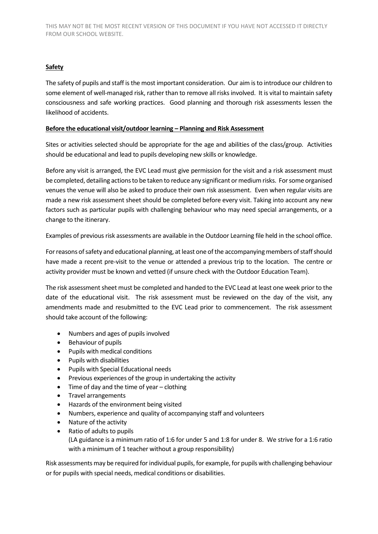# **Safety**

The safety of pupils and staff is the most important consideration. Our aim is to introduce our children to some element of well-managed risk, rather than to remove all risks involved. It is vital to maintain safety consciousness and safe working practices. Good planning and thorough risk assessments lessen the likelihood of accidents.

### **Before the educational visit/outdoor learning – Planning and Risk Assessment**

Sites or activities selected should be appropriate for the age and abilities of the class/group. Activities should be educational and lead to pupils developing new skills or knowledge.

Before any visit is arranged, the EVC Lead must give permission for the visit and a risk assessment must be completed, detailing actions to be taken to reduce any significant or medium risks. For some organised venues the venue will also be asked to produce their own risk assessment. Even when regular visits are made a new risk assessment sheet should be completed before every visit. Taking into account any new factors such as particular pupils with challenging behaviour who may need special arrangements, or a change to the itinerary.

Examples of previous risk assessments are available in the Outdoor Learning file held in the school office.

For reasons of safety and educational planning, at least one of the accompanying members of staff should have made a recent pre-visit to the venue or attended a previous trip to the location. The centre or activity provider must be known and vetted (if unsure check with the Outdoor Education Team).

The risk assessment sheet must be completed and handed to the EVC Lead at least one week prior to the date of the educational visit. The risk assessment must be reviewed on the day of the visit, any amendments made and resubmitted to the EVC Lead prior to commencement. The risk assessment should take account of the following:

- Numbers and ages of pupils involved
- Behaviour of pupils
- Pupils with medical conditions
- Pupils with disabilities
- Pupils with Special Educational needs
- Previous experiences of the group in undertaking the activity
- $\bullet$  Time of day and the time of year clothing
- Travel arrangements
- Hazards of the environment being visited
- Numbers, experience and quality of accompanying staff and volunteers
- Nature of the activity
- Ratio of adults to pupils (LA guidance is a minimum ratio of 1:6 for under 5 and 1:8 for under 8. We strive for a 1:6 ratio with a minimum of 1 teacher without a group responsibility)

Risk assessments may be required for individual pupils, for example, for pupils with challenging behaviour or for pupils with special needs, medical conditions or disabilities.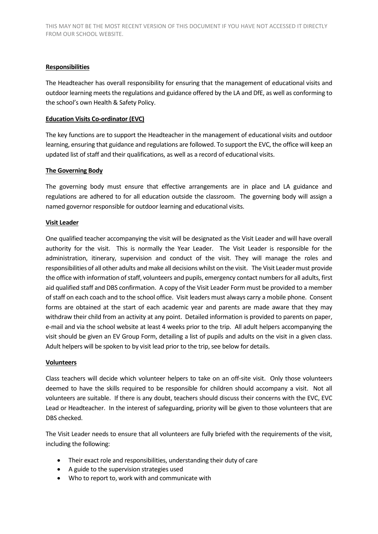### **Responsibilities**

The Headteacher has overall responsibility for ensuring that the management of educational visits and outdoor learning meets the regulations and guidance offered by the LA and DfE, as well as conforming to the school's own Health & Safety Policy.

### **Education Visits Co-ordinator (EVC)**

The key functions are to support the Headteacher in the management of educational visits and outdoor learning, ensuring that guidance and regulations are followed. To support the EVC, the office will keep an updated list of staff and their qualifications, as well as a record of educational visits.

### **The Governing Body**

The governing body must ensure that effective arrangements are in place and LA guidance and regulations are adhered to for all education outside the classroom. The governing body will assign a named governor responsible for outdoor learning and educational visits.

### **Visit Leader**

One qualified teacher accompanying the visit will be designated as the Visit Leader and will have overall authority for the visit. This is normally the Year Leader. The Visit Leader is responsible for the administration, itinerary, supervision and conduct of the visit. They will manage the roles and responsibilities of all other adults and make all decisions whilst on the visit. The Visit Leader must provide the office with information of staff, volunteers and pupils, emergency contact numbers for all adults, first aid qualified staff and DBS confirmation. A copy of the Visit Leader Form must be provided to a member of staff on each coach and to the school office. Visit leaders must always carry a mobile phone. Consent forms are obtained at the start of each academic year and parents are made aware that they may withdraw their child from an activity at any point. Detailed information is provided to parents on paper, e-mail and via the school website at least 4 weeks prior to the trip. All adult helpers accompanying the visit should be given an EV Group Form, detailing a list of pupils and adults on the visit in a given class. Adult helpers will be spoken to by visit lead prior to the trip, see below for details.

### **Volunteers**

Class teachers will decide which volunteer helpers to take on an off-site visit. Only those volunteers deemed to have the skills required to be responsible for children should accompany a visit. Not all volunteers are suitable. If there is any doubt, teachers should discuss their concerns with the EVC, EVC Lead or Headteacher. In the interest of safeguarding, priority will be given to those volunteers that are DBS checked.

The Visit Leader needs to ensure that all volunteers are fully briefed with the requirements of the visit, including the following:

- Their exact role and responsibilities, understanding their duty of care
- A guide to the supervision strategies used
- Who to report to, work with and communicate with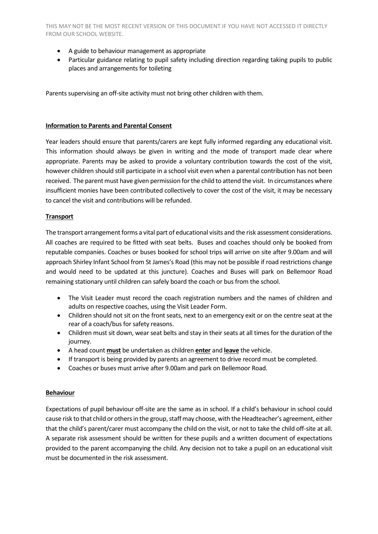- A guide to behaviour management as appropriate
- Particular guidance relating to pupil safety including direction regarding taking pupils to public places and arrangements for toileting

Parents supervising an off-site activity must not bring other children with them.

#### **Information to Parents and Parental Consent**

Year leaders should ensure that parents/carers are kept fully informed regarding any educational visit. This information should always be given in writing and the mode of transport made clear where appropriate. Parents may be asked to provide a voluntary contribution towards the cost of the visit, however children should still participate in a school visit even when a parental contribution has not been received. The parent must have given permission for the child to attend the visit. In circumstances where insufficient monies have been contributed collectively to cover the cost of the visit, it may be necessary to cancel the visit and contributions will be refunded.

### **Transport**

The transport arrangement forms a vital part of educational visits and the risk assessment considerations. All coaches are required to be fitted with seat belts. Buses and coaches should only be booked from reputable companies. Coaches or buses booked for school trips will arrive on site after 9.00am and will approach Shirley Infant School from St James's Road (this may not be possible if road restrictions change and would need to be updated at this juncture). Coaches and Buses will park on Bellemoor Road remaining stationary until children can safely board the coach or bus from the school.

- The Visit Leader must record the coach registration numbers and the names of children and adults on respective coaches, using the Visit Leader Form.
- Children should not sit on the front seats, next to an emergency exit or on the centre seat at the rear of a coach/bus for safety reasons.
- Children must sit down, wear seat belts and stay in their seats at all times for the duration of the journey.
- A head count **must** be undertaken as children **enter** and **leave** the vehicle.
- If transport is being provided by parents an agreement to drive record must be completed.
- Coaches or buses must arrive after 9.00am and park on Bellemoor Road.

### **Behaviour**

Expectations of pupil behaviour off-site are the same as in school. If a child's behaviour in school could cause risk to that child or others in the group, staff may choose, with the Headteacher's agreement, either that the child's parent/carer must accompany the child on the visit, or not to take the child off-site at all. A separate risk assessment should be written for these pupils and a written document of expectations provided to the parent accompanying the child. Any decision not to take a pupil on an educational visit must be documented in the risk assessment.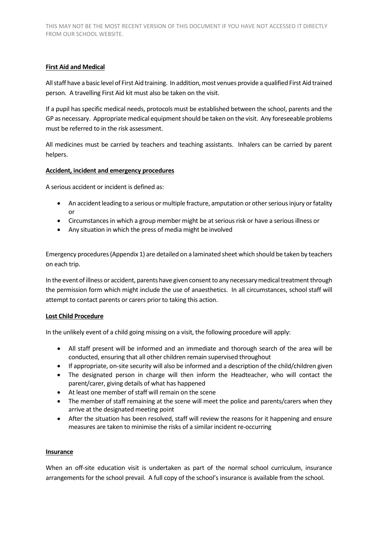# **First Aid and Medical**

All staff have a basic level of First Aid training. In addition, most venues provide a qualified First Aid trained person. A travelling First Aid kit must also be taken on the visit.

If a pupil has specific medical needs, protocols must be established between the school, parents and the GP as necessary. Appropriate medical equipment should be taken on the visit. Any foreseeable problems must be referred to in the risk assessment.

All medicines must be carried by teachers and teaching assistants. Inhalers can be carried by parent helpers.

# **Accident, incident and emergency procedures**

A serious accident or incident is defined as:

- An accident leading to a serious or multiple fracture, amputation or other serious injury or fatality or
- Circumstances in which a group member might be at serious risk or have a serious illness or
- Any situation in which the press of media might be involved

Emergency procedures (Appendix 1) are detailed on a laminated sheet which should be taken by teachers on each trip.

In the event of illness or accident, parents have given consent to any necessary medical treatment through the permission form which might include the use of anaesthetics. In all circumstances, school staff will attempt to contact parents or carers prior to taking this action.

# **Lost Child Procedure**

In the unlikely event of a child going missing on a visit, the following procedure will apply:

- All staff present will be informed and an immediate and thorough search of the area will be conducted, ensuring that all other children remain supervised throughout
- If appropriate, on-site security will also be informed and a description of the child/children given
- The designated person in charge will then inform the Headteacher, who will contact the parent/carer, giving details of what has happened
- At least one member of staff will remain on the scene
- The member of staff remaining at the scene will meet the police and parents/carers when they arrive at the designated meeting point
- After the situation has been resolved, staff will review the reasons for it happening and ensure measures are taken to minimise the risks of a similar incident re-occurring

### **Insurance**

When an off-site education visit is undertaken as part of the normal school curriculum, insurance arrangements for the school prevail. A full copy of the school's insurance is available from the school.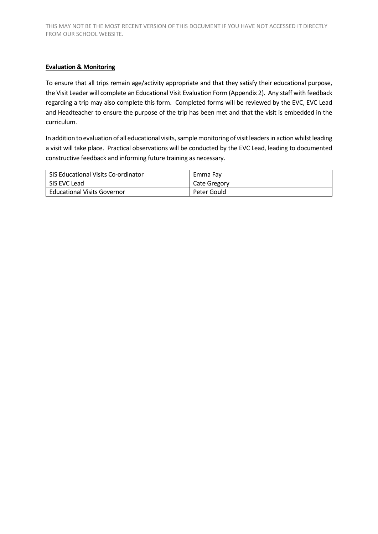# **Evaluation & Monitoring**

To ensure that all trips remain age/activity appropriate and that they satisfy their educational purpose, the Visit Leader will complete an Educational Visit Evaluation Form (Appendix 2). Any staff with feedback regarding a trip may also complete this form. Completed forms will be reviewed by the EVC, EVC Lead and Headteacher to ensure the purpose of the trip has been met and that the visit is embedded in the curriculum.

In addition to evaluation of all educational visits, sample monitoring of visit leaders in action whilst leading a visit will take place. Practical observations will be conducted by the EVC Lead, leading to documented constructive feedback and informing future training as necessary.

| SIS Educational Visits Co-ordinator | Emma Fav     |
|-------------------------------------|--------------|
| SIS EVC Lead                        | Cate Gregory |
| <b>Educational Visits Governor</b>  | Peter Gould  |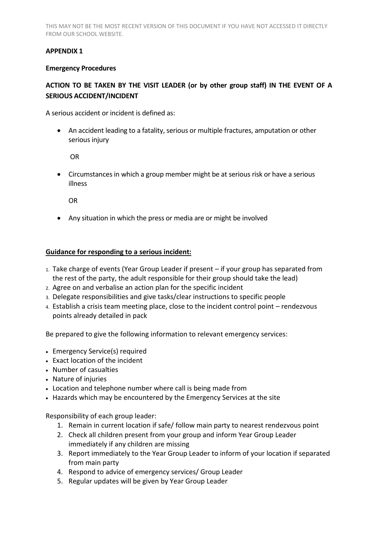# **APPENDIX 1**

# **Emergency Procedures**

# **ACTION TO BE TAKEN BY THE VISIT LEADER (or by other group staff) IN THE EVENT OF A SERIOUS ACCIDENT/INCIDENT**

A serious accident or incident is defined as:

 An accident leading to a fatality, serious or multiple fractures, amputation or other serious injury

OR

 Circumstances in which a group member might be at serious risk or have a serious illness

OR

Any situation in which the press or media are or might be involved

# **Guidance for responding to a serious incident:**

- 1. Take charge of events (Year Group Leader if present if your group has separated from the rest of the party, the adult responsible for their group should take the lead)
- 2. Agree on and verbalise an action plan for the specific incident
- 3. Delegate responsibilities and give tasks/clear instructions to specific people
- 4. Establish a crisis team meeting place, close to the incident control point rendezvous points already detailed in pack

Be prepared to give the following information to relevant emergency services:

- Emergency Service(s) required
- Exact location of the incident
- Number of casualties
- Nature of injuries
- Location and telephone number where call is being made from
- Hazards which may be encountered by the Emergency Services at the site

Responsibility of each group leader:

- 1. Remain in current location if safe/ follow main party to nearest rendezvous point
- 2. Check all children present from your group and inform Year Group Leader immediately if any children are missing
- 3. Report immediately to the Year Group Leader to inform of your location if separated from main party
- 4. Respond to advice of emergency services/ Group Leader
- 5. Regular updates will be given by Year Group Leader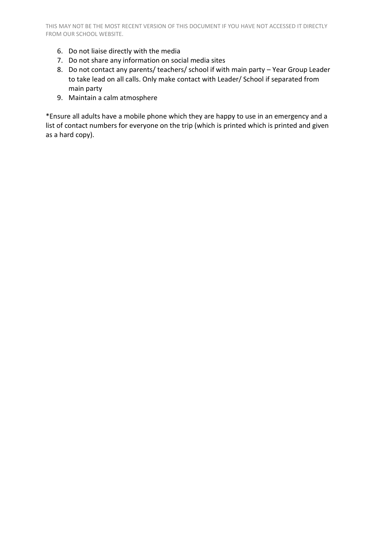- 6. Do not liaise directly with the media
- 7. Do not share any information on social media sites
- 8. Do not contact any parents/ teachers/ school if with main party Year Group Leader to take lead on all calls. Only make contact with Leader/ School if separated from main party
- 9. Maintain a calm atmosphere

\*Ensure all adults have a mobile phone which they are happy to use in an emergency and a list of contact numbers for everyone on the trip (which is printed which is printed and given as a hard copy).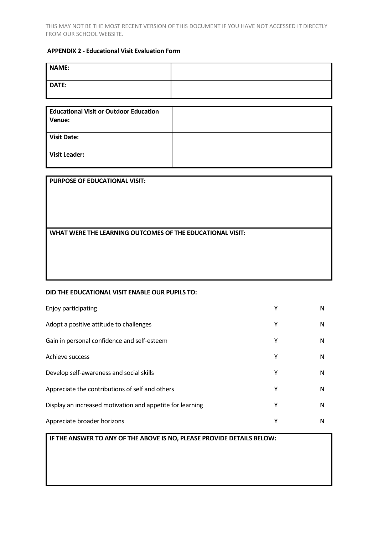# **APPENDIX 2 - Educational Visit Evaluation Form**

| DATE: |  |
|-------|--|
|       |  |

| <b>Educational Visit or Outdoor Education</b><br>Venue: |  |
|---------------------------------------------------------|--|
| <b>Visit Date:</b>                                      |  |
| <b>Visit Leader:</b>                                    |  |

| <b>PURPOSE OF EDUCATIONAL VISIT:</b> |  |
|--------------------------------------|--|
|                                      |  |

**WHAT WERE THE LEARNING OUTCOMES OF THE EDUCATIONAL VISIT:**

#### **DID THE EDUCATIONAL VISIT ENABLE OUR PUPILS TO:**

| Enjoy participating                                       | Υ | N |
|-----------------------------------------------------------|---|---|
| Adopt a positive attitude to challenges                   | Υ | N |
| Gain in personal confidence and self-esteem               | Υ | N |
| Achieve success                                           | Υ | N |
| Develop self-awareness and social skills                  | Υ | N |
| Appreciate the contributions of self and others           | Υ | N |
| Display an increased motivation and appetite for learning | Y | N |
| Appreciate broader horizons                               | Υ | N |

## **IF THE ANSWER TO ANY OF THE ABOVE IS NO, PLEASE PROVIDE DETAILS BELOW:**